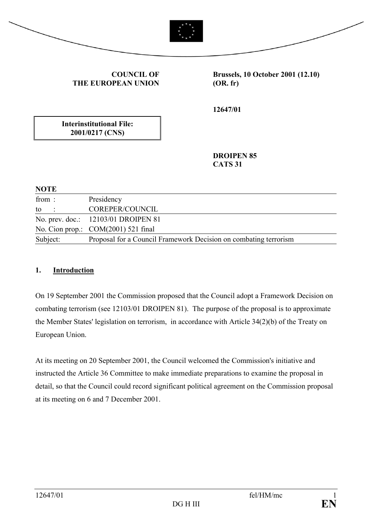



**COUNCIL OF THE EUROPEAN UNION**

**Brussels, 10 October 2001 (12.10) (OR. fr)**

**12647/01**

**Interinstitutional File: 2001/0217 (CNS)**

> **DROIPEN 85 CATS 31**

| <b>NOTE</b> |                                                                  |
|-------------|------------------------------------------------------------------|
| from:       | Presidency                                                       |
| to          | COREPER/COUNCIL                                                  |
|             | No. prev. doc.: 12103/01 DROIPEN 81                              |
|             | No. Cion prop.: COM(2001) 521 final                              |
| Subject:    | Proposal for a Council Framework Decision on combating terrorism |

#### **1. Introduction**

On 19 September 2001 the Commission proposed that the Council adopt a Framework Decision on combating terrorism (see 12103/01 DROIPEN 81). The purpose of the proposal is to approximate the Member States' legislation on terrorism, in accordance with Article 34(2)(b) of the Treaty on European Union.

At its meeting on 20 September 2001, the Council welcomed the Commission's initiative and instructed the Article 36 Committee to make immediate preparations to examine the proposal in detail, so that the Council could record significant political agreement on the Commission proposal at its meeting on 6 and 7 December 2001.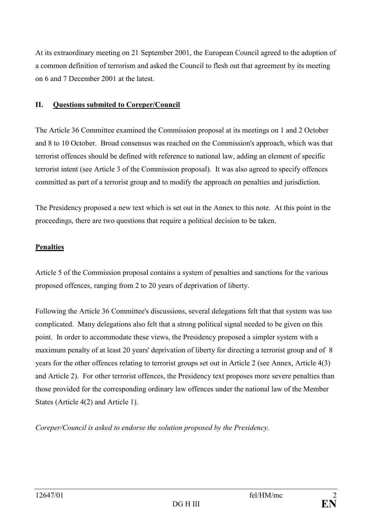At its extraordinary meeting on 21 September 2001, the European Council agreed to the adoption of a common definition of terrorism and asked the Council to flesh out that agreement by its meeting on 6 and 7 December 2001 at the latest.

### **II. Questions submited to Coreper/Council**

The Article 36 Committee examined the Commission proposal at its meetings on 1 and 2 October and 8 to 10 October. Broad consensus was reached on the Commission's approach, which was that terrorist offences should be defined with reference to national law, adding an element of specific terrorist intent (see Article 3 of the Commission proposal). It was also agreed to specify offences committed as part of a terrorist group and to modify the approach on penalties and jurisdiction.

The Presidency proposed a new text which is set out in the Annex to this note. At this point in the proceedings, there are two questions that require a political decision to be taken.

# **Penalties**

Article 5 of the Commission proposal contains a system of penalties and sanctions for the various proposed offences, ranging from 2 to 20 years of deprivation of liberty.

Following the Article 36 Committee's discussions, several delegations felt that that system was too complicated. Many delegations also felt that a strong political signal needed to be given on this point. In order to accommodate these views, the Presidency proposed a simpler system with a maximum penalty of at least 20 years' deprivation of liberty for directing a terrorist group and of 8 years for the other offences relating to terrorist groups set out in Article 2 (see Annex, Article 4(3) and Article 2). For other terrorist offences, the Presidency text proposes more severe penalties than those provided for the corresponding ordinary law offences under the national law of the Member States (Article 4(2) and Article 1).

*Coreper/Council is asked to endorse the solution proposed by the Presidency.*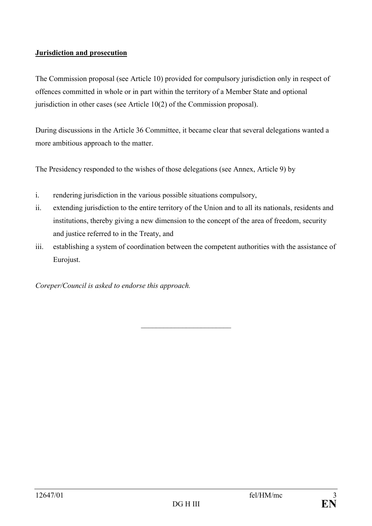### **Jurisdiction and prosecution**

The Commission proposal (see Article 10) provided for compulsory jurisdiction only in respect of offences committed in whole or in part within the territory of a Member State and optional jurisdiction in other cases (see Article 10(2) of the Commission proposal).

During discussions in the Article 36 Committee, it became clear that several delegations wanted a more ambitious approach to the matter.

The Presidency responded to the wishes of those delegations (see Annex, Article 9) by

- i. rendering jurisdiction in the various possible situations compulsory,
- ii. extending jurisdiction to the entire territory of the Union and to all its nationals, residents and institutions, thereby giving a new dimension to the concept of the area of freedom, security and justice referred to in the Treaty, and
- iii. establishing a system of coordination between the competent authorities with the assistance of Eurojust.

\_\_\_\_\_\_\_\_\_\_\_\_\_\_\_\_\_\_\_\_\_\_\_\_

*Coreper/Council is asked to endorse this approach.*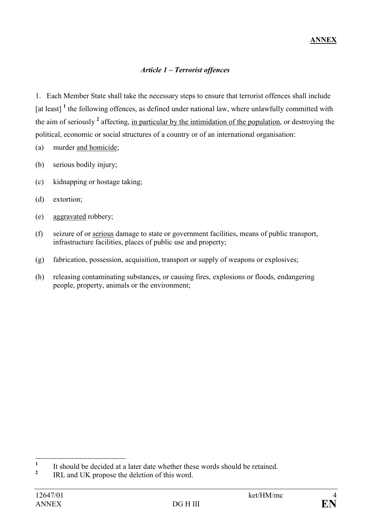# *Article 1 – Terrorist offences*

1. Each Member State shall take the necessary steps to ensure that terrorist offences shall include [at least]<sup>1</sup> the following offences, as defined under national law, where unlawfully committed with the aim of seriously <sup>2</sup> affecting, in particular by the intimidation of the population, or destroying the political, economic or social structures of a country or of an international organisation:

- (a) murder and homicide;
- (b) serious bodily injury;
- (c) kidnapping or hostage taking;
- (d) extortion;
- (e) aggravated robbery;
- (f) seizure of or serious damage to state or government facilities, means of public transport, infrastructure facilities, places of public use and property;
- (g) fabrication, possession, acquisition, transport or supply of weapons or explosives;
- (h) releasing contaminating substances, or causing fires, explosions or floods, endangering people, property, animals or the environment;

 **1** It should be decided at a later date whether these words should be retained.

**<sup>2</sup>** IRL and UK propose the deletion of this word.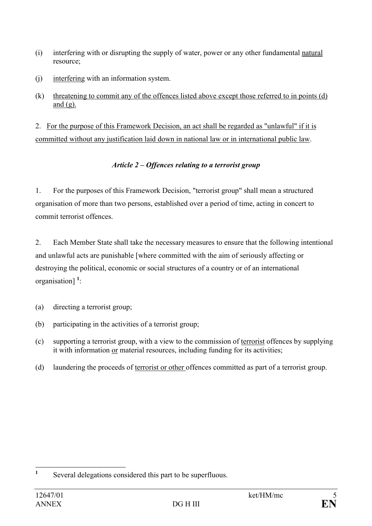- (i) interfering with or disrupting the supply of water, power or any other fundamental natural resource;
- (j) interfering with an information system.
- (k) threatening to commit any of the offences listed above except those referred to in points (d) and  $(g)$ .

2. For the purpose of this Framework Decision, an act shall be regarded as "unlawful" if it is committed without any justification laid down in national law or in international public law.

# *Article 2 – Offences relating to a terrorist group*

1. For the purposes of this Framework Decision, "terrorist group" shall mean a structured organisation of more than two persons, established over a period of time, acting in concert to commit terrorist offences.

2. Each Member State shall take the necessary measures to ensure that the following intentional and unlawful acts are punishable [where committed with the aim of seriously affecting or destroying the political, economic or social structures of a country or of an international organisation] **<sup>1</sup>** :

- (a) directing a terrorist group;
- (b) participating in the activities of a terrorist group;
- (c) supporting a terrorist group, with a view to the commission of terrorist offences by supplying it with information or material resources, including funding for its activities;
- (d) laundering the proceeds of terrorist or other offences committed as part of a terrorist group.

 **1** Several delegations considered this part to be superfluous.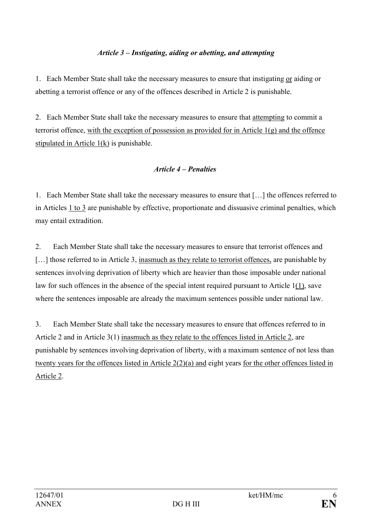### *Article 3 – Instigating, aiding or abetting, and attempting*

1. Each Member State shall take the necessary measures to ensure that instigating or aiding or abetting a terrorist offence or any of the offences described in Article 2 is punishable.

2. Each Member State shall take the necessary measures to ensure that attempting to commit a terrorist offence, with the exception of possession as provided for in Article 1(g) and the offence stipulated in Article 1(k) is punishable.

#### *Article 4 – Penalties*

1. Each Member State shall take the necessary measures to ensure that […] the offences referred to in Articles 1 to 3 are punishable by effective, proportionate and dissuasive criminal penalties, which may entail extradition.

2. Each Member State shall take the necessary measures to ensure that terrorist offences and [...] those referred to in Article 3, inasmuch as they relate to terrorist offences, are punishable by sentences involving deprivation of liberty which are heavier than those imposable under national law for such offences in the absence of the special intent required pursuant to Article 1(1), save where the sentences imposable are already the maximum sentences possible under national law.

3. Each Member State shall take the necessary measures to ensure that offences referred to in Article 2 and in Article 3(1) inasmuch as they relate to the offences listed in Article 2, are punishable by sentences involving deprivation of liberty, with a maximum sentence of not less than twenty years for the offences listed in Article 2(2)(a) and eight years for the other offences listed in Article 2.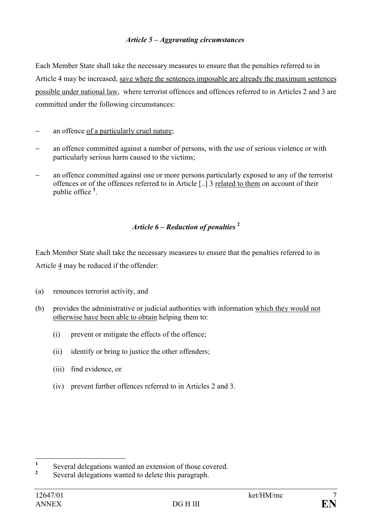#### *Article 5 – Aggravating circumstances*

Each Member State shall take the necessary measures to ensure that the penalties referred to in Article 4 may be increased, save where the sentences imposable are already the maximum sentences possible under national law, where terrorist offences and offences referred to in Articles 2 and 3 are committed under the following circumstances:

- − an offence of a particularly cruel nature;
- an offence committed against a number of persons, with the use of serious violence or with particularly serious harm caused to the victims;
- an offence committed against one or more persons particularly exposed to any of the terrorist offences or of the offences referred to in Article [..] 3 related to them on account of their public office **<sup>1</sup>** .

# *Article 6 – Reduction of penalties* **<sup>2</sup>**

Each Member State shall take the necessary measures to ensure that the penalties referred to in Article 4 may be reduced if the offender:

- (a) renounces terrorist activity, and
- (b) provides the administrative or judicial authorities with information which they would not otherwise have been able to obtain helping them to:
	- (i) prevent or mitigate the effects of the offence;
	- (ii) identify or bring to justice the other offenders;
	- (iii) find evidence, or
	- (iv) prevent further offences referred to in Articles 2 and 3.

 **1** Several delegations wanted an extension of those covered.

**<sup>2</sup>** Several delegations wanted to delete this paragraph.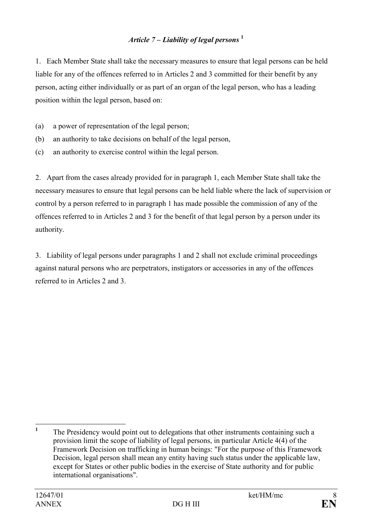# *Article 7 – Liability of legal persons* **<sup>1</sup>**

1. Each Member State shall take the necessary measures to ensure that legal persons can be held liable for any of the offences referred to in Articles 2 and 3 committed for their benefit by any person, acting either individually or as part of an organ of the legal person, who has a leading position within the legal person, based on:

- (a) a power of representation of the legal person;
- (b) an authority to take decisions on behalf of the legal person,
- (c) an authority to exercise control within the legal person.

2. Apart from the cases already provided for in paragraph 1, each Member State shall take the necessary measures to ensure that legal persons can be held liable where the lack of supervision or control by a person referred to in paragraph 1 has made possible the commission of any of the offences referred to in Articles 2 and 3 for the benefit of that legal person by a person under its authority.

3. Liability of legal persons under paragraphs 1 and 2 shall not exclude criminal proceedings against natural persons who are perpetrators, instigators or accessories in any of the offences referred to in Articles 2 and 3.

 **1** The Presidency would point out to delegations that other instruments containing such a provision limit the scope of liability of legal persons, in particular Article 4(4) of the Framework Decision on trafficking in human beings: "For the purpose of this Framework Decision, legal person shall mean any entity having such status under the applicable law, except for States or other public bodies in the exercise of State authority and for public international organisations".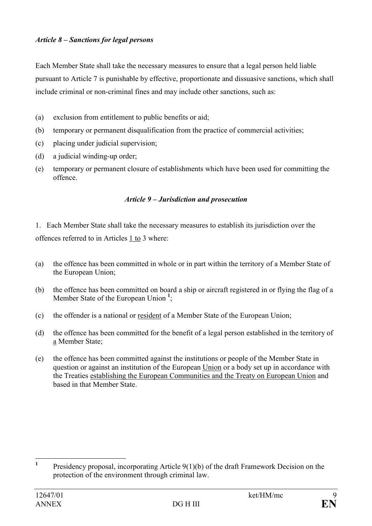#### *Article 8 – Sanctions for legal persons*

Each Member State shall take the necessary measures to ensure that a legal person held liable pursuant to Article 7 is punishable by effective, proportionate and dissuasive sanctions, which shall include criminal or non-criminal fines and may include other sanctions, such as:

- (a) exclusion from entitlement to public benefits or aid;
- (b) temporary or permanent disqualification from the practice of commercial activities;
- (c) placing under judicial supervision;
- (d) a judicial winding-up order;
- (e) temporary or permanent closure of establishments which have been used for committing the offence.

#### *Article 9 – Jurisdiction and prosecution*

1. Each Member State shall take the necessary measures to establish its jurisdiction over the offences referred to in Articles 1 to 3 where:

- (a) the offence has been committed in whole or in part within the territory of a Member State of the European Union;
- (b) the offence has been committed on board a ship or aircraft registered in or flying the flag of a Member State of the European Union **<sup>1</sup>** ;
- (c) the offender is a national or resident of a Member State of the European Union;
- (d) the offence has been committed for the benefit of a legal person established in the territory of a Member State;
- (e) the offence has been committed against the institutions or people of the Member State in question or against an institution of the European Union or a body set up in accordance with the Treaties establishing the European Communities and the Treaty on European Union and based in that Member State.

 **1** Presidency proposal, incorporating Article 9(1)(b) of the draft Framework Decision on the protection of the environment through criminal law.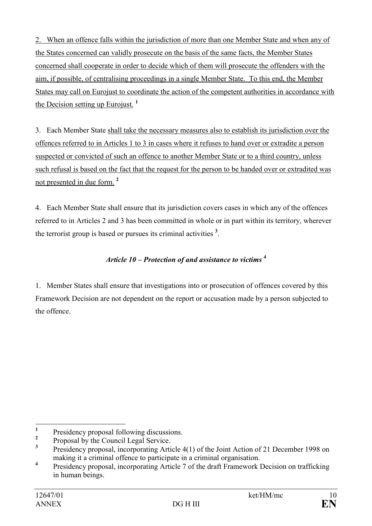2. When an offence falls within the jurisdiction of more than one Member State and when any of the States concerned can validly prosecute on the basis of the same facts, the Member States concerned shall cooperate in order to decide which of them will prosecute the offenders with the aim, if possible, of centralising proceedings in a single Member State. To this end, the Member States may call on Eurojust to coordinate the action of the competent authorities in accordance with the Decision setting up Eurojust. **<sup>1</sup>**

3. Each Member State shall take the necessary measures also to establish its jurisdiction over the offences referred to in Articles 1 to 3 in cases where it refuses to hand over or extradite a person suspected or convicted of such an offence to another Member State or to a third country, unless such refusal is based on the fact that the request for the person to be handed over or extradited was not presented in due form. **<sup>2</sup>**

4. Each Member State shall ensure that its jurisdiction covers cases in which any of the offences referred to in Articles 2 and 3 has been committed in whole or in part within its territory, wherever the terrorist group is based or pursues its criminal activities **<sup>3</sup>** .

# *Article 10 – Protection of and assistance to victims* **<sup>4</sup>**

1. Member States shall ensure that investigations into or prosecution of offences covered by this Framework Decision are not dependent on the report or accusation made by a person subjected to the offence.

 **1** Presidency proposal following discussions.

**<sup>2</sup>** Proposal by the Council Legal Service.

**<sup>3</sup>** Presidency proposal, incorporating Article 4(1) of the Joint Action of 21 December 1998 on making it a criminal offence to participate in a criminal organisation.

**<sup>4</sup>** Presidency proposal, incorporating Article 7 of the draft Framework Decision on trafficking in human beings.